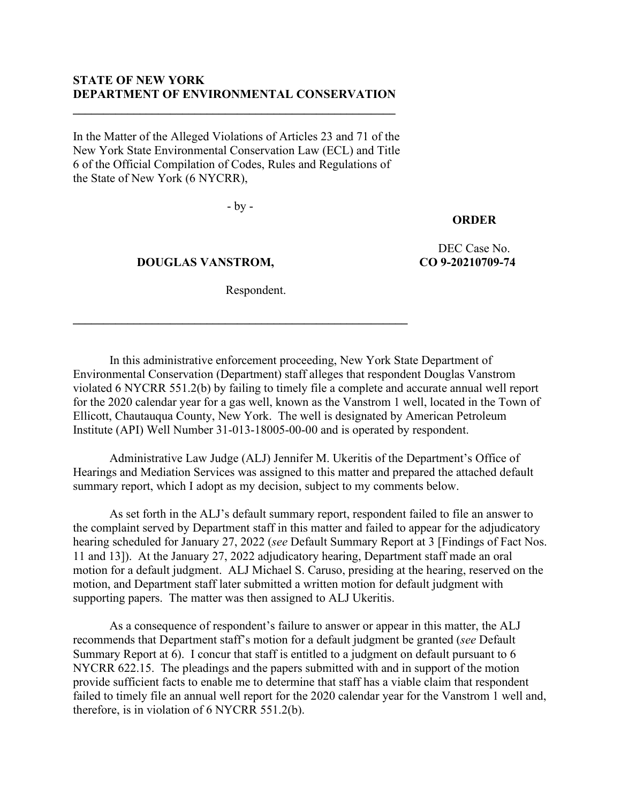## **STATE OF NEW YORK DEPARTMENT OF ENVIRONMENTAL CONSERVATION**

**\_\_\_\_\_\_\_\_\_\_\_\_\_\_\_\_\_\_\_\_\_\_\_\_\_\_\_\_\_\_\_\_\_\_\_\_\_\_\_\_\_\_\_\_\_\_\_\_\_\_\_\_\_**

In the Matter of the Alleged Violations of Articles 23 and 71 of the New York State Environmental Conservation Law (ECL) and Title 6 of the Official Compilation of Codes, Rules and Regulations of the State of New York (6 NYCRR),

- by -

## **ORDER**

 **DOUGLAS VANSTROM,**

DEC Case No. **CO 9-20210709-74**

Respondent.

**\_\_\_\_\_\_\_\_\_\_\_\_\_\_\_\_\_\_\_\_\_\_\_\_\_\_\_\_\_\_\_\_\_\_\_\_\_\_\_\_\_\_\_\_\_\_\_\_\_\_\_\_\_\_\_**

In this administrative enforcement proceeding, New York State Department of Environmental Conservation (Department) staff alleges that respondent Douglas Vanstrom violated 6 NYCRR 551.2(b) by failing to timely file a complete and accurate annual well report for the 2020 calendar year for a gas well, known as the Vanstrom 1 well, located in the Town of Ellicott, Chautauqua County, New York. The well is designated by American Petroleum Institute (API) Well Number 31-013-18005-00-00 and is operated by respondent.

Administrative Law Judge (ALJ) Jennifer M. Ukeritis of the Department's Office of Hearings and Mediation Services was assigned to this matter and prepared the attached default summary report, which I adopt as my decision, subject to my comments below.

As set forth in the ALJ's default summary report, respondent failed to file an answer to the complaint served by Department staff in this matter and failed to appear for the adjudicatory hearing scheduled for January 27, 2022 (*see* Default Summary Report at 3 [Findings of Fact Nos. 11 and 13]). At the January 27, 2022 adjudicatory hearing, Department staff made an oral motion for a default judgment. ALJ Michael S. Caruso, presiding at the hearing, reserved on the motion, and Department staff later submitted a written motion for default judgment with supporting papers. The matter was then assigned to ALJ Ukeritis.

As a consequence of respondent's failure to answer or appear in this matter, the ALJ recommends that Department staff's motion for a default judgment be granted (*see* Default Summary Report at 6). I concur that staff is entitled to a judgment on default pursuant to 6 NYCRR 622.15. The pleadings and the papers submitted with and in support of the motion provide sufficient facts to enable me to determine that staff has a viable claim that respondent failed to timely file an annual well report for the 2020 calendar year for the Vanstrom 1 well and, therefore, is in violation of 6 NYCRR 551.2(b).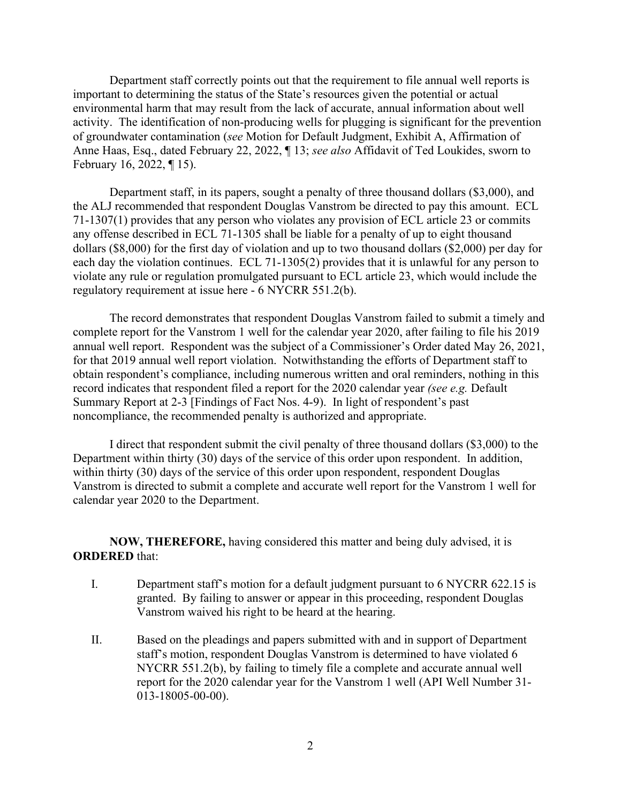Department staff correctly points out that the requirement to file annual well reports is important to determining the status of the State's resources given the potential or actual environmental harm that may result from the lack of accurate, annual information about well activity. The identification of non-producing wells for plugging is significant for the prevention of groundwater contamination (*see* Motion for Default Judgment, Exhibit A, Affirmation of Anne Haas, Esq., dated February 22, 2022, ¶ 13; *see also* Affidavit of Ted Loukides, sworn to February 16, 2022, ¶ 15).

Department staff, in its papers, sought a penalty of three thousand dollars (\$3,000), and the ALJ recommended that respondent Douglas Vanstrom be directed to pay this amount. ECL 71-1307(1) provides that any person who violates any provision of ECL article 23 or commits any offense described in ECL 71-1305 shall be liable for a penalty of up to eight thousand dollars (\$8,000) for the first day of violation and up to two thousand dollars (\$2,000) per day for each day the violation continues. ECL 71-1305(2) provides that it is unlawful for any person to violate any rule or regulation promulgated pursuant to ECL article 23, which would include the regulatory requirement at issue here - 6 NYCRR 551.2(b).

The record demonstrates that respondent Douglas Vanstrom failed to submit a timely and complete report for the Vanstrom 1 well for the calendar year 2020, after failing to file his 2019 annual well report. Respondent was the subject of a Commissioner's Order dated May 26, 2021, for that 2019 annual well report violation. Notwithstanding the efforts of Department staff to obtain respondent's compliance, including numerous written and oral reminders, nothing in this record indicates that respondent filed a report for the 2020 calendar year *(see e.g.* Default Summary Report at 2-3 [Findings of Fact Nos. 4-9). In light of respondent's past noncompliance, the recommended penalty is authorized and appropriate.

I direct that respondent submit the civil penalty of three thousand dollars (\$3,000) to the Department within thirty (30) days of the service of this order upon respondent. In addition, within thirty (30) days of the service of this order upon respondent, respondent Douglas Vanstrom is directed to submit a complete and accurate well report for the Vanstrom 1 well for calendar year 2020 to the Department.

**NOW, THEREFORE,** having considered this matter and being duly advised, it is **ORDERED** that:

- I. Department staff's motion for a default judgment pursuant to 6 NYCRR 622.15 is granted. By failing to answer or appear in this proceeding, respondent Douglas Vanstrom waived his right to be heard at the hearing.
- II. Based on the pleadings and papers submitted with and in support of Department staff's motion, respondent Douglas Vanstrom is determined to have violated 6 NYCRR 551.2(b), by failing to timely file a complete and accurate annual well report for the 2020 calendar year for the Vanstrom 1 well (API Well Number 31- 013-18005-00-00).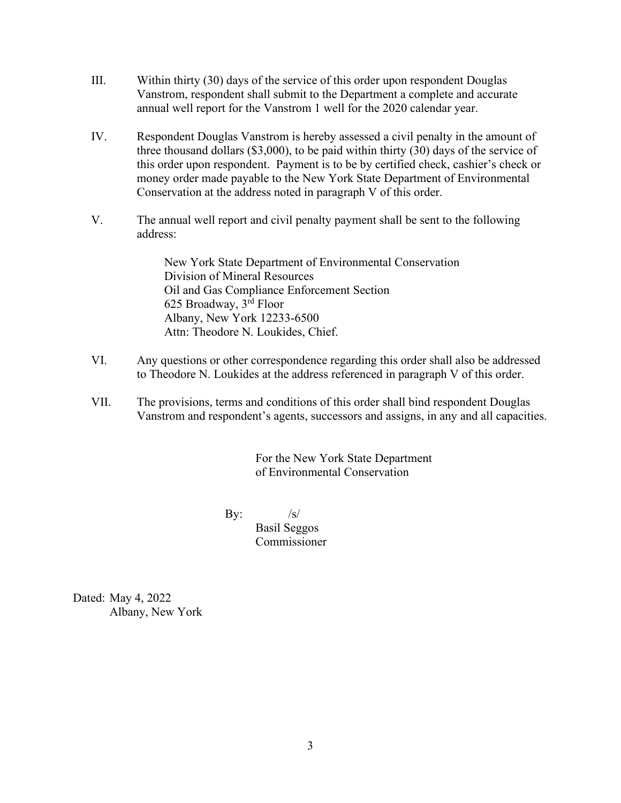- III. Within thirty (30) days of the service of this order upon respondent Douglas Vanstrom, respondent shall submit to the Department a complete and accurate annual well report for the Vanstrom 1 well for the 2020 calendar year.
- IV. Respondent Douglas Vanstrom is hereby assessed a civil penalty in the amount of three thousand dollars (\$3,000), to be paid within thirty (30) days of the service of this order upon respondent. Payment is to be by certified check, cashier's check or money order made payable to the New York State Department of Environmental Conservation at the address noted in paragraph V of this order.
- V. The annual well report and civil penalty payment shall be sent to the following address:

New York State Department of Environmental Conservation Division of Mineral Resources Oil and Gas Compliance Enforcement Section 625 Broadway, 3rd Floor Albany, New York 12233-6500 Attn: Theodore N. Loukides, Chief.

- VI. Any questions or other correspondence regarding this order shall also be addressed to Theodore N. Loukides at the address referenced in paragraph V of this order.
- VII. The provisions, terms and conditions of this order shall bind respondent Douglas Vanstrom and respondent's agents, successors and assigns, in any and all capacities.

For the New York State Department of Environmental Conservation

By:  $/s/$ 

Basil Seggos

Commissioner

Dated: May 4, 2022 Albany, New York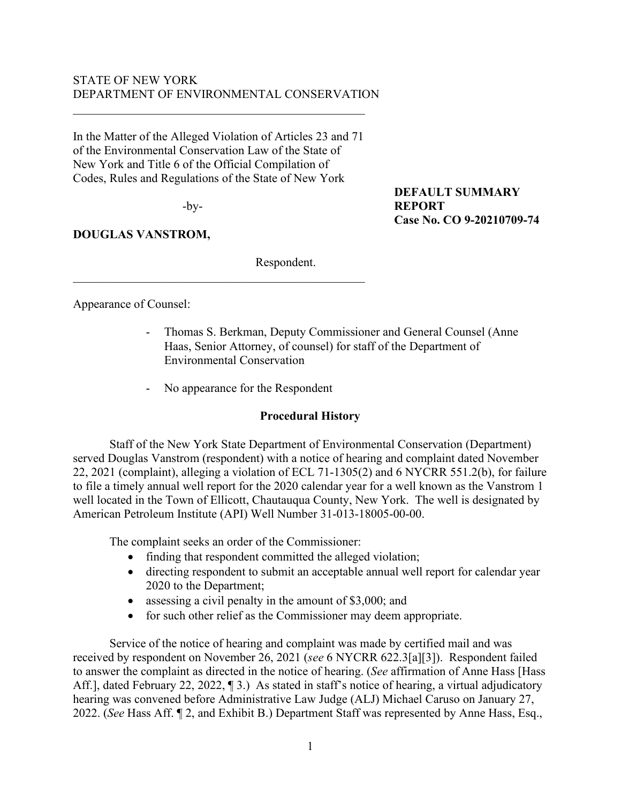## STATE OF NEW YORK DEPARTMENT OF ENVIRONMENTAL CONSERVATION

In the Matter of the Alleged Violation of Articles 23 and 71 of the Environmental Conservation Law of the State of New York and Title 6 of the Official Compilation of Codes, Rules and Regulations of the State of New York

 $\mathcal{L}_\mathcal{L}$ 

-by-

# **DOUGLAS VANSTROM,**

**DEFAULT SUMMARY REPORT Case No. CO 9-20210709-74**

Respondent.

Appearance of Counsel:

- Thomas S. Berkman, Deputy Commissioner and General Counsel (Anne Haas, Senior Attorney, of counsel) for staff of the Department of Environmental Conservation
- No appearance for the Respondent

## **Procedural History**

Staff of the New York State Department of Environmental Conservation (Department) served Douglas Vanstrom (respondent) with a notice of hearing and complaint dated November 22, 2021 (complaint), alleging a violation of ECL 71-1305(2) and 6 NYCRR 551.2(b), for failure to file a timely annual well report for the 2020 calendar year for a well known as the Vanstrom 1 well located in the Town of Ellicott, Chautauqua County, New York. The well is designated by American Petroleum Institute (API) Well Number 31-013-18005-00-00.

The complaint seeks an order of the Commissioner:

- finding that respondent committed the alleged violation;
- directing respondent to submit an acceptable annual well report for calendar year 2020 to the Department;
- assessing a civil penalty in the amount of \$3,000; and
- for such other relief as the Commissioner may deem appropriate.

Service of the notice of hearing and complaint was made by certified mail and was received by respondent on November 26, 2021 (*see* 6 NYCRR 622.3[a][3]). Respondent failed to answer the complaint as directed in the notice of hearing. (*See* affirmation of Anne Hass [Hass Aff.], dated February 22, 2022, 13. As stated in staff's notice of hearing, a virtual adjudicatory hearing was convened before Administrative Law Judge (ALJ) Michael Caruso on January 27, 2022. (*See* Hass Aff. ¶ 2, and Exhibit B.) Department Staff was represented by Anne Hass, Esq.,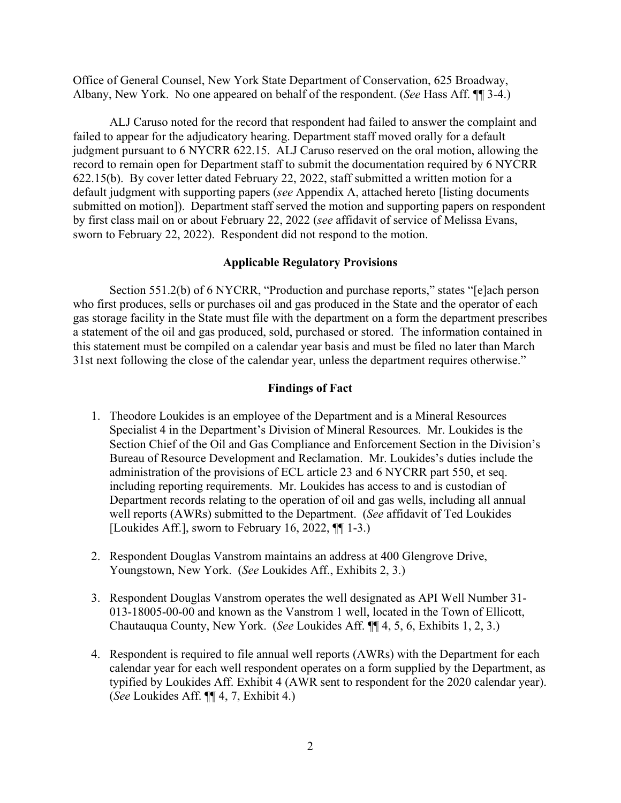Office of General Counsel, New York State Department of Conservation, 625 Broadway, Albany, New York. No one appeared on behalf of the respondent. (*See* Hass Aff. ¶¶ 3-4.)

ALJ Caruso noted for the record that respondent had failed to answer the complaint and failed to appear for the adjudicatory hearing. Department staff moved orally for a default judgment pursuant to 6 NYCRR 622.15. ALJ Caruso reserved on the oral motion, allowing the record to remain open for Department staff to submit the documentation required by 6 NYCRR 622.15(b). By cover letter dated February 22, 2022, staff submitted a written motion for a default judgment with supporting papers (*see* Appendix A, attached hereto [listing documents submitted on motion]). Department staff served the motion and supporting papers on respondent by first class mail on or about February 22, 2022 (*see* affidavit of service of Melissa Evans, sworn to February 22, 2022). Respondent did not respond to the motion.

### **Applicable Regulatory Provisions**

Section 551.2(b) of 6 NYCRR, "Production and purchase reports," states "[e]ach person who first produces, sells or purchases oil and gas produced in the State and the operator of each gas storage facility in the State must file with the department on a form the department prescribes a statement of the oil and gas produced, sold, purchased or stored. The information contained in this statement must be compiled on a calendar year basis and must be filed no later than March 31st next following the close of the calendar year, unless the department requires otherwise."

#### **Findings of Fact**

- 1. Theodore Loukides is an employee of the Department and is a Mineral Resources Specialist 4 in the Department's Division of Mineral Resources. Mr. Loukides is the Section Chief of the Oil and Gas Compliance and Enforcement Section in the Division's Bureau of Resource Development and Reclamation. Mr. Loukides's duties include the administration of the provisions of ECL article 23 and 6 NYCRR part 550, et seq. including reporting requirements. Mr. Loukides has access to and is custodian of Department records relating to the operation of oil and gas wells, including all annual well reports (AWRs) submitted to the Department. (*See* affidavit of Ted Loukides [Loukides Aff.], sworn to February 16, 2022, ¶¶ 1-3.)
- 2. Respondent Douglas Vanstrom maintains an address at 400 Glengrove Drive, Youngstown, New York. (*See* Loukides Aff., Exhibits 2, 3.)
- 3. Respondent Douglas Vanstrom operates the well designated as API Well Number 31- 013-18005-00-00 and known as the Vanstrom 1 well, located in the Town of Ellicott, Chautauqua County, New York. (*See* Loukides Aff. ¶¶ 4, 5, 6, Exhibits 1, 2, 3.)
- 4. Respondent is required to file annual well reports (AWRs) with the Department for each calendar year for each well respondent operates on a form supplied by the Department, as typified by Loukides Aff. Exhibit 4 (AWR sent to respondent for the 2020 calendar year). (*See* Loukides Aff. ¶¶ 4, 7, Exhibit 4.)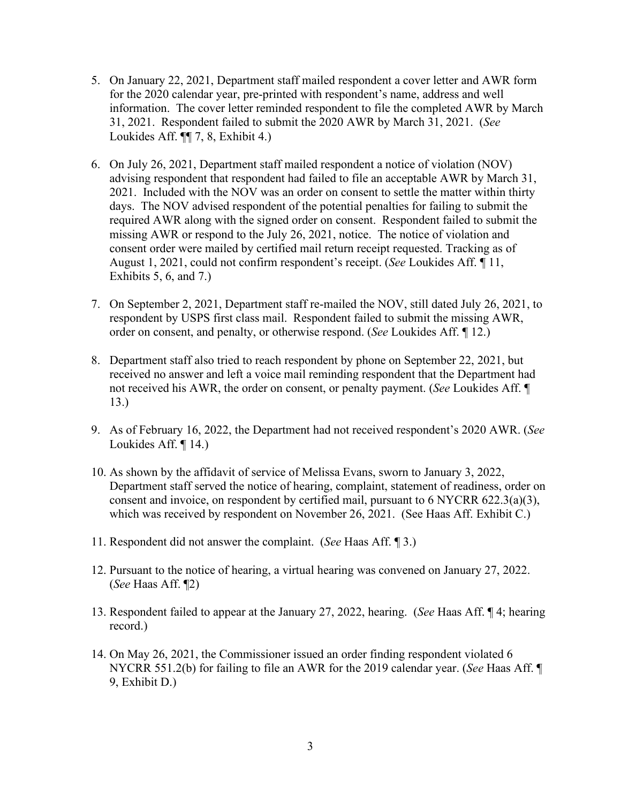- 5. On January 22, 2021, Department staff mailed respondent a cover letter and AWR form for the 2020 calendar year, pre-printed with respondent's name, address and well information. The cover letter reminded respondent to file the completed AWR by March 31, 2021. Respondent failed to submit the 2020 AWR by March 31, 2021. (*See* Loukides Aff. ¶¶ 7, 8, Exhibit 4.)
- 6. On July 26, 2021, Department staff mailed respondent a notice of violation (NOV) advising respondent that respondent had failed to file an acceptable AWR by March 31, 2021. Included with the NOV was an order on consent to settle the matter within thirty days. The NOV advised respondent of the potential penalties for failing to submit the required AWR along with the signed order on consent. Respondent failed to submit the missing AWR or respond to the July 26, 2021, notice. The notice of violation and consent order were mailed by certified mail return receipt requested. Tracking as of August 1, 2021, could not confirm respondent's receipt. (*See* Loukides Aff. ¶ 11, Exhibits 5, 6, and 7.)
- 7. On September 2, 2021, Department staff re-mailed the NOV, still dated July 26, 2021, to respondent by USPS first class mail. Respondent failed to submit the missing AWR, order on consent, and penalty, or otherwise respond. (*See* Loukides Aff. ¶ 12.)
- 8. Department staff also tried to reach respondent by phone on September 22, 2021, but received no answer and left a voice mail reminding respondent that the Department had not received his AWR, the order on consent, or penalty payment. (*See* Loukides Aff. ¶ 13.)
- 9. As of February 16, 2022, the Department had not received respondent's 2020 AWR. (*See* Loukides Aff. ¶ 14.)
- 10. As shown by the affidavit of service of Melissa Evans, sworn to January 3, 2022, Department staff served the notice of hearing, complaint, statement of readiness, order on consent and invoice, on respondent by certified mail, pursuant to 6 NYCRR 622.3(a)(3), which was received by respondent on November 26, 2021. (See Haas Aff. Exhibit C.)
- 11. Respondent did not answer the complaint. (*See* Haas Aff. ¶ 3.)
- 12. Pursuant to the notice of hearing, a virtual hearing was convened on January 27, 2022. (*See* Haas Aff. ¶2)
- 13. Respondent failed to appear at the January 27, 2022, hearing. (*See* Haas Aff. ¶ 4; hearing record.)
- 14. On May 26, 2021, the Commissioner issued an order finding respondent violated 6 NYCRR 551.2(b) for failing to file an AWR for the 2019 calendar year. (*See* Haas Aff. ¶ 9, Exhibit D.)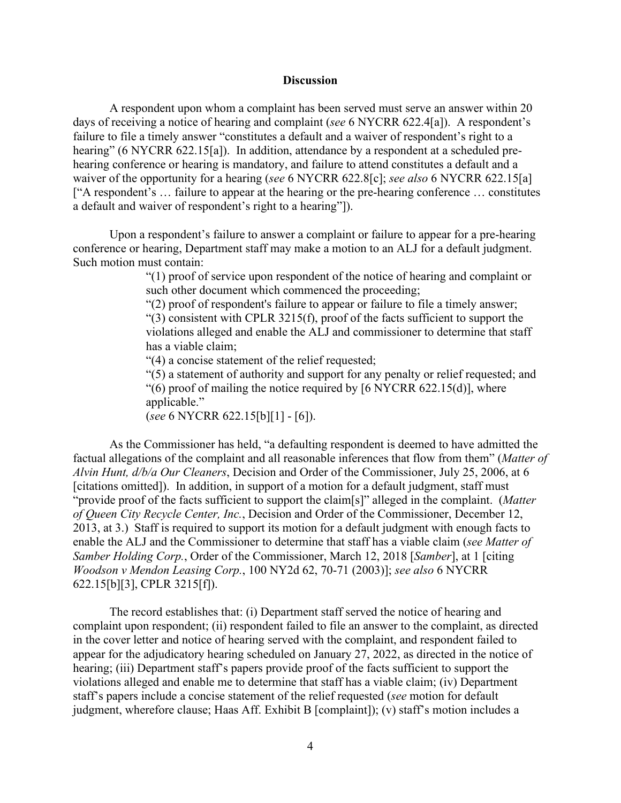#### **Discussion**

A respondent upon whom a complaint has been served must serve an answer within 20 days of receiving a notice of hearing and complaint (*see* 6 NYCRR 622.4[a]). A respondent's failure to file a timely answer "constitutes a default and a waiver of respondent's right to a hearing" (6 NYCRR 622.15[a]). In addition, attendance by a respondent at a scheduled prehearing conference or hearing is mandatory, and failure to attend constitutes a default and a waiver of the opportunity for a hearing (*see* 6 NYCRR 622.8[c]; *see also* 6 NYCRR 622.15[a] ["A respondent's … failure to appear at the hearing or the pre-hearing conference … constitutes a default and waiver of respondent's right to a hearing"]).

Upon a respondent's failure to answer a complaint or failure to appear for a pre-hearing conference or hearing, Department staff may make a motion to an ALJ for a default judgment. Such motion must contain:

> "(1) proof of service upon respondent of the notice of hearing and complaint or such other document which commenced the proceeding;

"(2) proof of respondent's failure to appear or failure to file a timely answer;

 $(3)$  consistent with CPLR 3215(f), proof of the facts sufficient to support the violations alleged and enable the ALJ and commissioner to determine that staff has a viable claim;

"(4) a concise statement of the relief requested;

"(5) a statement of authority and support for any penalty or relief requested; and "(6) proof of mailing the notice required by  $[6 \text{ NYCRR } 622.15(d)]$ , where applicable." (*see* 6 NYCRR 622.15[b][1] - [6]).

As the Commissioner has held, "a defaulting respondent is deemed to have admitted the factual allegations of the complaint and all reasonable inferences that flow from them" (*Matter of Alvin Hunt, d/b/a Our Cleaners*, Decision and Order of the Commissioner, July 25, 2006, at 6 [citations omitted]). In addition, in support of a motion for a default judgment, staff must "provide proof of the facts sufficient to support the claim[s]" alleged in the complaint. (*Matter of Queen City Recycle Center, Inc.*, Decision and Order of the Commissioner, December 12, 2013, at 3.) Staff is required to support its motion for a default judgment with enough facts to enable the ALJ and the Commissioner to determine that staff has a viable claim (*see Matter of Samber Holding Corp.*, Order of the Commissioner, March 12, 2018 [*Samber*], at 1 [citing *Woodson v Mendon Leasing Corp.*, 100 NY2d 62, 70-71 (2003)]; *see also* 6 NYCRR 622.15[b][3], CPLR 3215[f]).

The record establishes that: (i) Department staff served the notice of hearing and complaint upon respondent; (ii) respondent failed to file an answer to the complaint, as directed in the cover letter and notice of hearing served with the complaint, and respondent failed to appear for the adjudicatory hearing scheduled on January 27, 2022, as directed in the notice of hearing; (iii) Department staff's papers provide proof of the facts sufficient to support the violations alleged and enable me to determine that staff has a viable claim; (iv) Department staff's papers include a concise statement of the relief requested (*see* motion for default judgment, wherefore clause; Haas Aff. Exhibit B [complaint]); (v) staff's motion includes a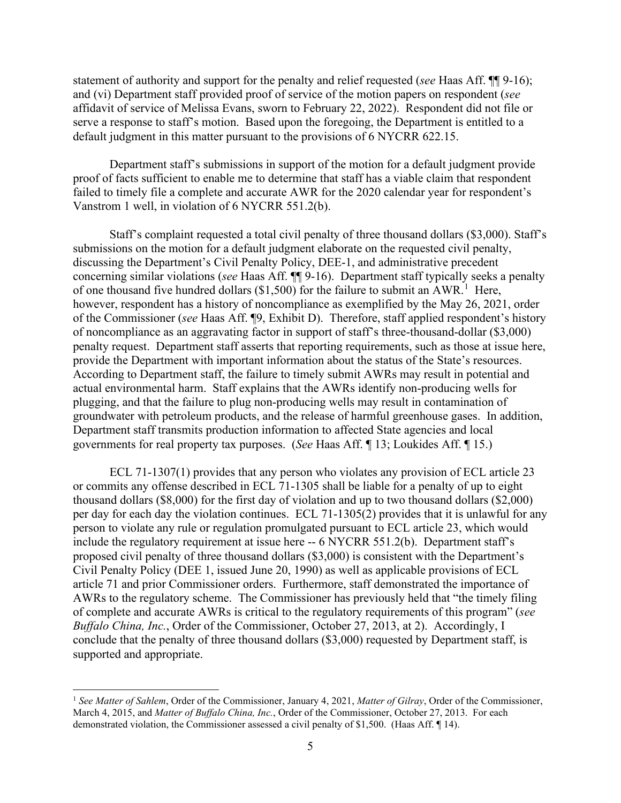statement of authority and support for the penalty and relief requested (*see* Haas Aff. ¶¶ 9-16); and (vi) Department staff provided proof of service of the motion papers on respondent (*see* affidavit of service of Melissa Evans, sworn to February 22, 2022). Respondent did not file or serve a response to staff's motion. Based upon the foregoing, the Department is entitled to a default judgment in this matter pursuant to the provisions of 6 NYCRR 622.15.

Department staff's submissions in support of the motion for a default judgment provide proof of facts sufficient to enable me to determine that staff has a viable claim that respondent failed to timely file a complete and accurate AWR for the 2020 calendar year for respondent's Vanstrom 1 well, in violation of 6 NYCRR 551.2(b).

Staff's complaint requested a total civil penalty of three thousand dollars (\$3,000). Staff's submissions on the motion for a default judgment elaborate on the requested civil penalty, discussing the Department's Civil Penalty Policy, DEE-1, and administrative precedent concerning similar violations (*see* Haas Aff. ¶¶ 9-16). Department staff typically seeks a penalty of one thousand five hundred dollars (\$[1](#page-7-0),500) for the failure to submit an AWR.<sup>1</sup> Here, however, respondent has a history of noncompliance as exemplified by the May 26, 2021, order of the Commissioner (*see* Haas Aff. ¶9, Exhibit D). Therefore, staff applied respondent's history of noncompliance as an aggravating factor in support of staff's three-thousand-dollar (\$3,000) penalty request. Department staff asserts that reporting requirements, such as those at issue here, provide the Department with important information about the status of the State's resources. According to Department staff, the failure to timely submit AWRs may result in potential and actual environmental harm. Staff explains that the AWRs identify non-producing wells for plugging, and that the failure to plug non-producing wells may result in contamination of groundwater with petroleum products, and the release of harmful greenhouse gases. In addition, Department staff transmits production information to affected State agencies and local governments for real property tax purposes. (*See* Haas Aff. ¶ 13; Loukides Aff. ¶ 15.)

ECL 71-1307(1) provides that any person who violates any provision of ECL article 23 or commits any offense described in ECL 71-1305 shall be liable for a penalty of up to eight thousand dollars (\$8,000) for the first day of violation and up to two thousand dollars (\$2,000) per day for each day the violation continues. ECL 71-1305(2) provides that it is unlawful for any person to violate any rule or regulation promulgated pursuant to ECL article 23, which would include the regulatory requirement at issue here -- 6 NYCRR 551.2(b). Department staff's proposed civil penalty of three thousand dollars (\$3,000) is consistent with the Department's Civil Penalty Policy (DEE 1, issued June 20, 1990) as well as applicable provisions of ECL article 71 and prior Commissioner orders. Furthermore, staff demonstrated the importance of AWRs to the regulatory scheme. The Commissioner has previously held that "the timely filing of complete and accurate AWRs is critical to the regulatory requirements of this program" (*see Buffalo China, Inc.*, Order of the Commissioner, October 27, 2013, at 2). Accordingly, I conclude that the penalty of three thousand dollars (\$3,000) requested by Department staff, is supported and appropriate.

<span id="page-7-0"></span><sup>1</sup> *See Matter of Sahlem*, Order of the Commissioner, January 4, 2021, *Matter of Gilray*, Order of the Commissioner, March 4, 2015, and *Matter of Buffalo China, Inc.*, Order of the Commissioner, October 27, 2013. For each demonstrated violation, the Commissioner assessed a civil penalty of \$1,500. (Haas Aff. ¶ 14).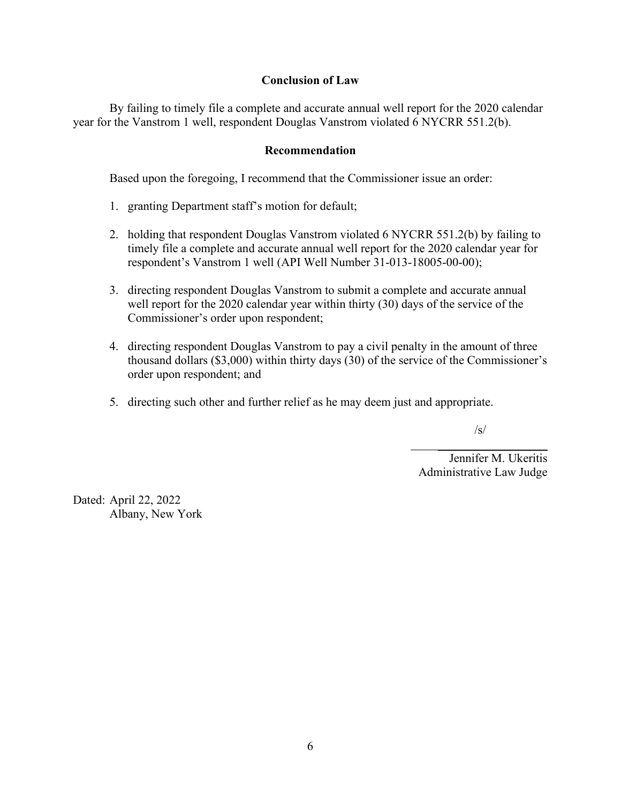## **Conclusion of Law**

By failing to timely file a complete and accurate annual well report for the 2020 calendar year for the Vanstrom 1 well, respondent Douglas Vanstrom violated 6 NYCRR 551.2(b).

## **Recommendation**

Based upon the foregoing, I recommend that the Commissioner issue an order:

- 1. granting Department staff's motion for default;
- 2. holding that respondent Douglas Vanstrom violated 6 NYCRR 551.2(b) by failing to timely file a complete and accurate annual well report for the 2020 calendar year for respondent's Vanstrom 1 well (API Well Number 31-013-18005-00-00);
- 3. directing respondent Douglas Vanstrom to submit a complete and accurate annual well report for the 2020 calendar year within thirty (30) days of the service of the Commissioner's order upon respondent;
- 4. directing respondent Douglas Vanstrom to pay a civil penalty in the amount of three thousand dollars (\$3,000) within thirty days (30) of the service of the Commissioner's order upon respondent; and
- 5. directing such other and further relief as he may deem just and appropriate.

 $\mathcal{L}_\mathcal{L} = \{ \mathcal{L}_\mathcal{L} \mid \mathcal{L}_\mathcal{L} \}$  , where  $\mathcal{L}_\mathcal{L} = \{ \mathcal{L}_\mathcal{L} \mid \mathcal{L}_\mathcal{L} \}$ 

/s/

Jennifer M. Ukeritis Administrative Law Judge

Dated: April 22, 2022 Albany, New York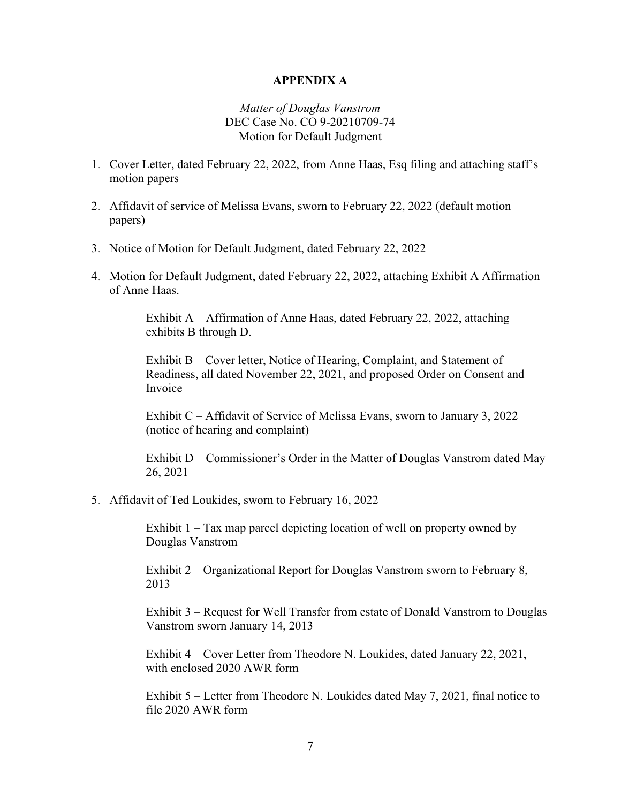### **APPENDIX A**

### *Matter of Douglas Vanstrom* DEC Case No. CO 9-20210709-74 Motion for Default Judgment

- 1. Cover Letter, dated February 22, 2022, from Anne Haas, Esq filing and attaching staff's motion papers
- 2. Affidavit of service of Melissa Evans, sworn to February 22, 2022 (default motion papers)
- 3. Notice of Motion for Default Judgment, dated February 22, 2022
- 4. Motion for Default Judgment, dated February 22, 2022, attaching Exhibit A Affirmation of Anne Haas.

Exhibit A – Affirmation of Anne Haas, dated February 22, 2022, attaching exhibits B through D.

Exhibit B – Cover letter, Notice of Hearing, Complaint, and Statement of Readiness, all dated November 22, 2021, and proposed Order on Consent and Invoice

Exhibit C – Affidavit of Service of Melissa Evans, sworn to January 3, 2022 (notice of hearing and complaint)

Exhibit D – Commissioner's Order in the Matter of Douglas Vanstrom dated May 26, 2021

5. Affidavit of Ted Loukides, sworn to February 16, 2022

Exhibit 1 – Tax map parcel depicting location of well on property owned by Douglas Vanstrom

Exhibit 2 – Organizational Report for Douglas Vanstrom sworn to February 8, 2013

Exhibit 3 – Request for Well Transfer from estate of Donald Vanstrom to Douglas Vanstrom sworn January 14, 2013

Exhibit 4 – Cover Letter from Theodore N. Loukides, dated January 22, 2021, with enclosed 2020 AWR form

Exhibit 5 – Letter from Theodore N. Loukides dated May 7, 2021, final notice to file 2020 AWR form